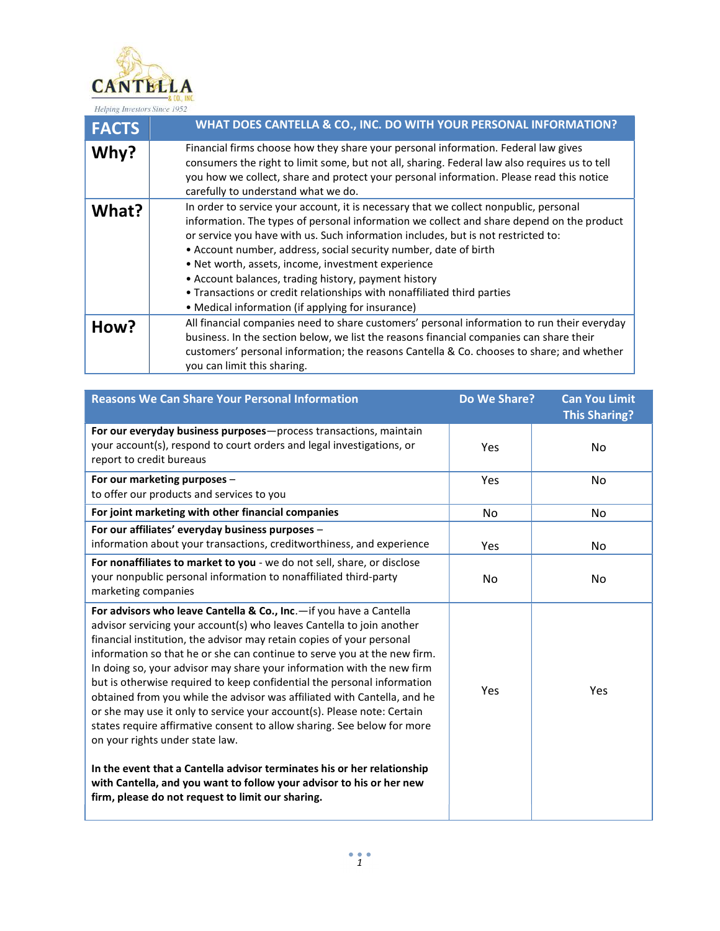

| <b>FACTS</b> | WHAT DOES CANTELLA & CO., INC. DO WITH YOUR PERSONAL INFORMATION?                                                                                                                                                                                                                                                                                                                                                                                                                                                                                                                         |
|--------------|-------------------------------------------------------------------------------------------------------------------------------------------------------------------------------------------------------------------------------------------------------------------------------------------------------------------------------------------------------------------------------------------------------------------------------------------------------------------------------------------------------------------------------------------------------------------------------------------|
| Why?         | Financial firms choose how they share your personal information. Federal law gives<br>consumers the right to limit some, but not all, sharing. Federal law also requires us to tell<br>you how we collect, share and protect your personal information. Please read this notice<br>carefully to understand what we do.                                                                                                                                                                                                                                                                    |
| What?        | In order to service your account, it is necessary that we collect nonpublic, personal<br>information. The types of personal information we collect and share depend on the product<br>or service you have with us. Such information includes, but is not restricted to:<br>• Account number, address, social security number, date of birth<br>. Net worth, assets, income, investment experience<br>• Account balances, trading history, payment history<br>• Transactions or credit relationships with nonaffiliated third parties<br>• Medical information (if applying for insurance) |
| How?         | All financial companies need to share customers' personal information to run their everyday<br>business. In the section below, we list the reasons financial companies can share their<br>customers' personal information; the reasons Cantella & Co. chooses to share; and whether<br>you can limit this sharing.                                                                                                                                                                                                                                                                        |

| <b>Reasons We Can Share Your Personal Information</b>                                                                                                                                                                                                                                                                                                                                                                                                                                                                                                                                                                                                                                                                      | Do We Share? | <b>Can You Limit</b><br><b>This Sharing?</b> |
|----------------------------------------------------------------------------------------------------------------------------------------------------------------------------------------------------------------------------------------------------------------------------------------------------------------------------------------------------------------------------------------------------------------------------------------------------------------------------------------------------------------------------------------------------------------------------------------------------------------------------------------------------------------------------------------------------------------------------|--------------|----------------------------------------------|
| For our everyday business purposes-process transactions, maintain<br>your account(s), respond to court orders and legal investigations, or<br>report to credit bureaus                                                                                                                                                                                                                                                                                                                                                                                                                                                                                                                                                     | Yes          | No                                           |
| For our marketing purposes -<br>to offer our products and services to you                                                                                                                                                                                                                                                                                                                                                                                                                                                                                                                                                                                                                                                  | Yes          | <b>No</b>                                    |
| For joint marketing with other financial companies                                                                                                                                                                                                                                                                                                                                                                                                                                                                                                                                                                                                                                                                         | <b>No</b>    | <b>No</b>                                    |
| For our affiliates' everyday business purposes -<br>information about your transactions, creditworthiness, and experience                                                                                                                                                                                                                                                                                                                                                                                                                                                                                                                                                                                                  | Yes          | No.                                          |
| For nonaffiliates to market to you - we do not sell, share, or disclose<br>your nonpublic personal information to nonaffiliated third-party<br>marketing companies                                                                                                                                                                                                                                                                                                                                                                                                                                                                                                                                                         | No           | No                                           |
| For advisors who leave Cantella & Co., Inc.-if you have a Cantella<br>advisor servicing your account(s) who leaves Cantella to join another<br>financial institution, the advisor may retain copies of your personal<br>information so that he or she can continue to serve you at the new firm.<br>In doing so, your advisor may share your information with the new firm<br>but is otherwise required to keep confidential the personal information<br>obtained from you while the advisor was affiliated with Cantella, and he<br>or she may use it only to service your account(s). Please note: Certain<br>states require affirmative consent to allow sharing. See below for more<br>on your rights under state law. | Yes          | Yes                                          |
| In the event that a Cantella advisor terminates his or her relationship<br>with Cantella, and you want to follow your advisor to his or her new<br>firm, please do not request to limit our sharing.                                                                                                                                                                                                                                                                                                                                                                                                                                                                                                                       |              |                                              |